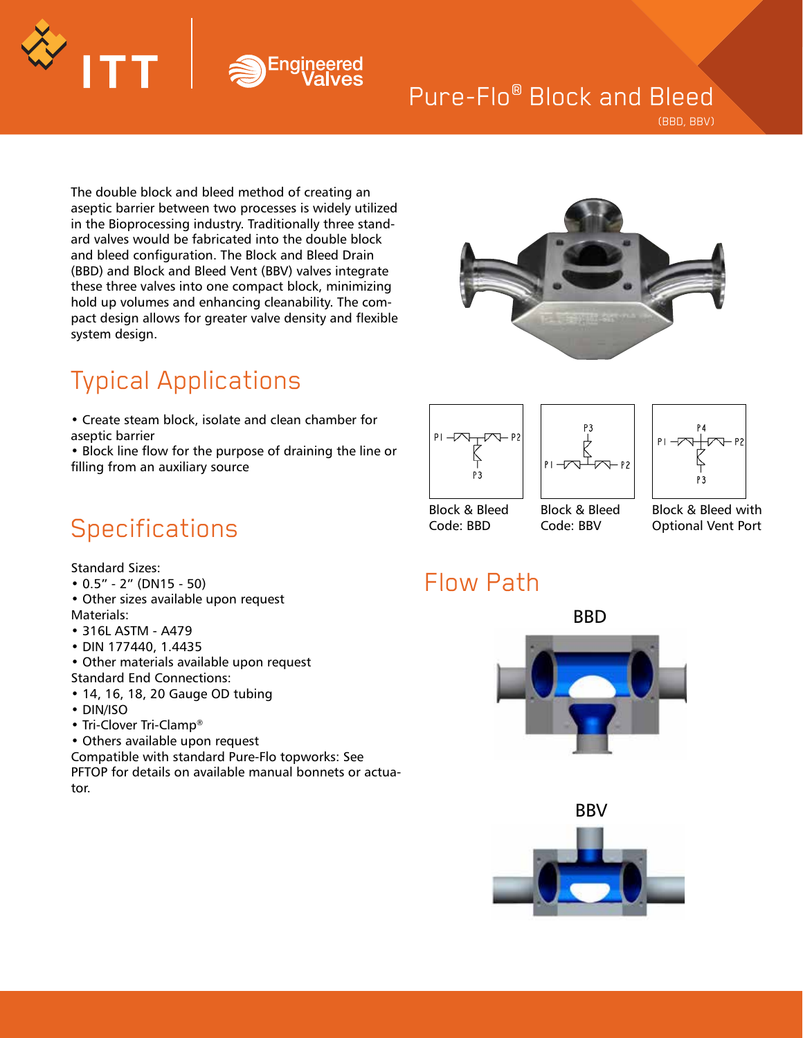# Engine

### Pure-Flo® Block and Bleed

(BBD, BBV)

The double block and bleed method of creating an aseptic barrier between two processes is widely utilized in the Bioprocessing industry. Traditionally three standard valves would be fabricated into the double block and bleed configuration. The Block and Bleed Drain (BBD) and Block and Bleed Vent (BBV) valves integrate these three valves into one compact block, minimizing hold up volumes and enhancing cleanability. The compact design allows for greater valve density and flexible system design.



## Typical Applications

• Create steam block, isolate and clean chamber for aseptic barrier

• Block line flow for the purpose of draining the line or filling from an auxiliary source





Code: BBV



Block & Bleed with Optional Vent Port

## Code: BBD

#### Flow Path







### **Specifications**

Standard Sizes:

- 0.5" 2" (DN15 50)
- Other sizes available upon request Materials:
- 316L ASTM A479
- DIN 177440, 1.4435
- Other materials available upon request Standard End Connections:
- 14, 16, 18, 20 Gauge OD tubing
- DIN/ISO
- Tri-Clover Tri-Clamp®
- Others available upon request

Compatible with standard Pure-Flo topworks: See PFTOP for details on available manual bonnets or actuator.